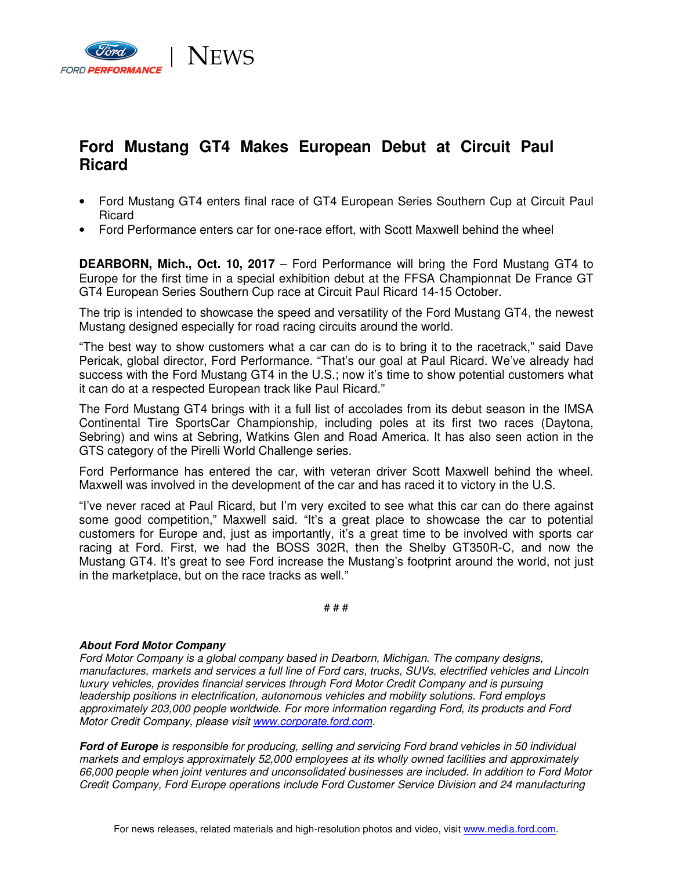

## **Ford Mustang GT4 Makes European Debut at Circuit Paul Ricard**

- Ford Mustang GT4 enters final race of GT4 European Series Southern Cup at Circuit Paul Ricard
- Ford Performance enters car for one-race effort, with Scott Maxwell behind the wheel

**DEARBORN, Mich., Oct. 10, 2017** – Ford Performance will bring the Ford Mustang GT4 to Europe for the first time in a special exhibition debut at the FFSA Championnat De France GT GT4 European Series Southern Cup race at Circuit Paul Ricard 14-15 October.

The trip is intended to showcase the speed and versatility of the Ford Mustang GT4, the newest Mustang designed especially for road racing circuits around the world.

"The best way to show customers what a car can do is to bring it to the racetrack," said Dave Pericak, global director, Ford Performance. "That's our goal at Paul Ricard. We've already had success with the Ford Mustang GT4 in the U.S.; now it's time to show potential customers what it can do at a respected European track like Paul Ricard."

The Ford Mustang GT4 brings with it a full list of accolades from its debut season in the IMSA Continental Tire SportsCar Championship, including poles at its first two races (Daytona, Sebring) and wins at Sebring, Watkins Glen and Road America. It has also seen action in the GTS category of the Pirelli World Challenge series.

Ford Performance has entered the car, with veteran driver Scott Maxwell behind the wheel. Maxwell was involved in the development of the car and has raced it to victory in the U.S.

"I've never raced at Paul Ricard, but I'm very excited to see what this car can do there against some good competition," Maxwell said. "It's a great place to showcase the car to potential customers for Europe and, just as importantly, it's a great time to be involved with sports car racing at Ford. First, we had the BOSS 302R, then the Shelby GT350R-C, and now the Mustang GT4. It's great to see Ford increase the Mustang's footprint around the world, not just in the marketplace, but on the race tracks as well."

# # #

## **About Ford Motor Company**

Ford Motor Company is a global company based in Dearborn, Michigan. The company designs, manufactures, markets and services a full line of Ford cars, trucks, SUVs, electrified vehicles and Lincoln luxury vehicles, provides financial services through Ford Motor Credit Company and is pursuing leadership positions in electrification, autonomous vehicles and mobility solutions. Ford employs approximately 203,000 people worldwide. For more information regarding Ford, its products and Ford Motor Credit Company, please visit www.corporate.ford.com.

**Ford of Europe** is responsible for producing, selling and servicing Ford brand vehicles in 50 individual markets and employs approximately 52,000 employees at its wholly owned facilities and approximately 66,000 people when joint ventures and unconsolidated businesses are included. In addition to Ford Motor Credit Company, Ford Europe operations include Ford Customer Service Division and 24 manufacturing